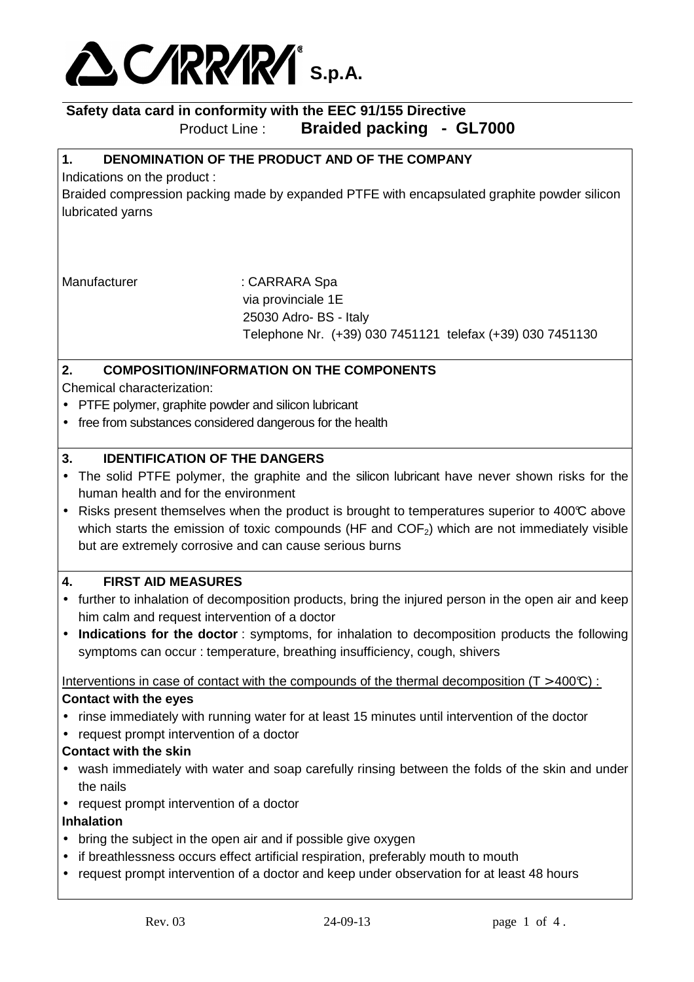

# **1. DENOMINATION OF THE PRODUCT AND OF THE COMPANY**

Indications on the product :

Braided compression packing made by expanded PTFE with encapsulated graphite powder silicon lubricated yarns

Manufacturer : CARRARA Spa via provinciale 1E 25030 Adro- BS - Italy Telephone Nr. (+39) 030 7451121 telefax (+39) 030 7451130

## **2. COMPOSITION/INFORMATION ON THE COMPONENTS**

Chemical characterization:

- PTFE polymer, graphite powder and silicon lubricant
- free from substances considered dangerous for the health

### **3. IDENTIFICATION OF THE DANGERS**

- The solid PTFE polymer, the graphite and the silicon lubricant have never shown risks for the human health and for the environment
- Risks present themselves when the product is brought to temperatures superior to 400°C above which starts the emission of toxic compounds (HF and  $COF<sub>2</sub>$ ) which are not immediately visible but are extremely corrosive and can cause serious burns

# **4. FIRST AID MEASURES**

- further to inhalation of decomposition products, bring the injured person in the open air and keep him calm and request intervention of a doctor
- **Indications for the doctor** : symptoms, for inhalation to decomposition products the following symptoms can occur : temperature, breathing insufficiency, cough, shivers

Interventions in case of contact with the compounds of the thermal decomposition ( $T > 400C$ ): **Contact with the eyes** 

- rinse immediately with running water for at least 15 minutes until intervention of the doctor
- request prompt intervention of a doctor

#### **Contact with the skin**

- wash immediately with water and soap carefully rinsing between the folds of the skin and under the nails
- request prompt intervention of a doctor

#### **Inhalation**

- bring the subject in the open air and if possible give oxygen
- if breathlessness occurs effect artificial respiration, preferably mouth to mouth
- request prompt intervention of a doctor and keep under observation for at least 48 hours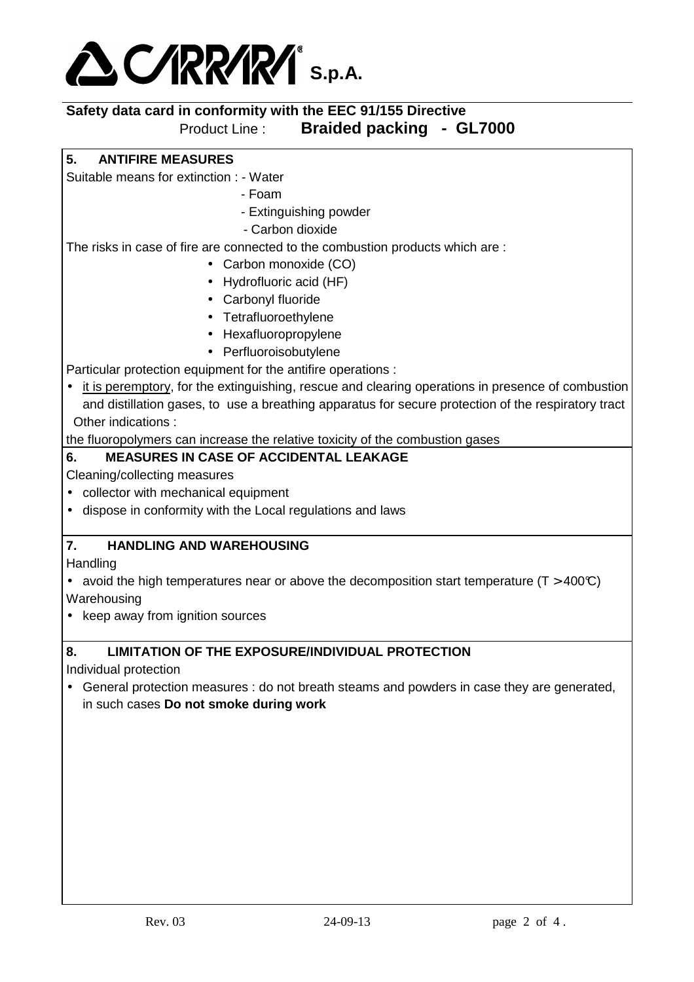

**5. ANTIFIRE MEASURES** 

Suitable means for extinction : - Water

- Foam
- Extinguishing powder
- Carbon dioxide

The risks in case of fire are connected to the combustion products which are :

- Carbon monoxide (CO)
- Hydrofluoric acid (HF)
- Carbonyl fluoride
- Tetrafluoroethylene
- Hexafluoropropylene
- Perfluoroisobutylene

Particular protection equipment for the antifire operations :

• it is peremptory, for the extinguishing, rescue and clearing operations in presence of combustion and distillation gases, to use a breathing apparatus for secure protection of the respiratory tract Other indications :

the fluoropolymers can increase the relative toxicity of the combustion gases

### **6. MEASURES IN CASE OF ACCIDENTAL LEAKAGE**

Cleaning/collecting measures

- collector with mechanical equipment
- dispose in conformity with the Local regulations and laws

## **7. HANDLING AND WAREHOUSING**

**Handling** 

- avoid the high temperatures near or above the decomposition start temperature ( $T > 400\degree$ ) Warehousing
- keep away from ignition sources

# **8. LIMITATION OF THE EXPOSURE/INDIVIDUAL PROTECTION**

Individual protection

• General protection measures : do not breath steams and powders in case they are generated, in such cases **Do not smoke during work**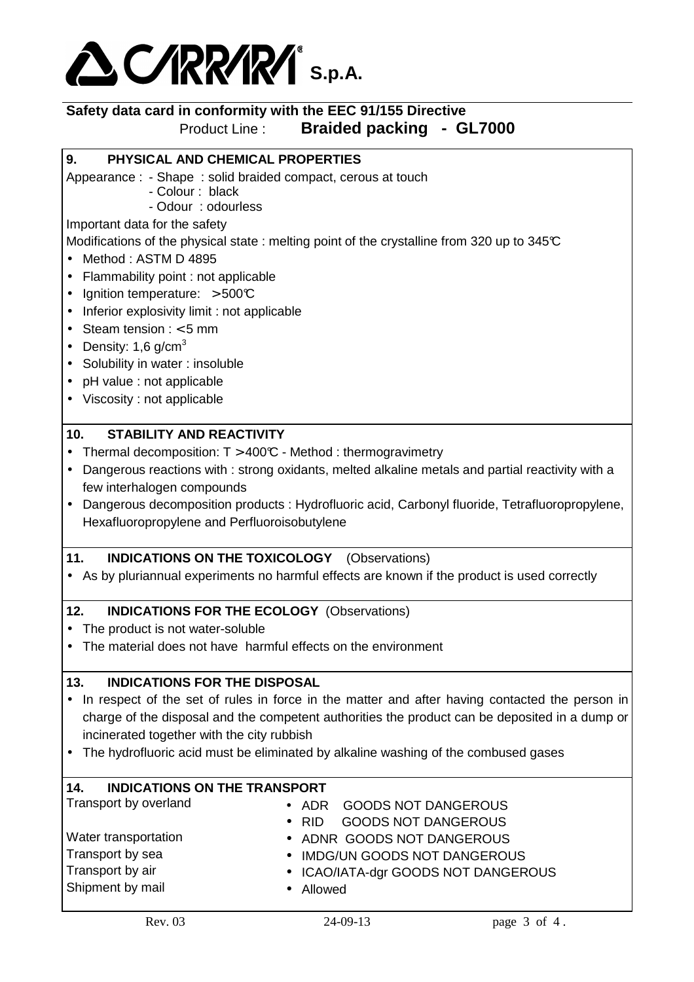

# **9. PHYSICAL AND CHEMICAL PROPERTIES**

Appearance : - Shape : solid braided compact, cerous at touch

- Colour : black

- Odour : odourless

Important data for the safety

Modifications of the physical state : melting point of the crystalline from 320 up to 345°C

- Method: ASTM D 4895
- Flammability point : not applicable
- Ignition temperature:  $>500C$
- Inferior explosivity limit : not applicable
- Steam tension  $: < 5$  mm
- Density: 1.6  $q/cm<sup>3</sup>$
- Solubility in water : insoluble
- pH value : not applicable
- Viscosity : not applicable

#### **10. STABILITY AND REACTIVITY**

- Thermal decomposition:  $T > 400\text{°C}$  Method : thermogravimetry
- Dangerous reactions with : strong oxidants, melted alkaline metals and partial reactivity with a few interhalogen compounds
- Dangerous decomposition products : Hydrofluoric acid, Carbonyl fluoride, Tetrafluoropropylene, Hexafluoropropylene and Perfluoroisobutylene

# **11. INDICATIONS ON THE TOXICOLOGY** (Observations)

• As by pluriannual experiments no harmful effects are known if the product is used correctly

#### **12. INDICATIONS FOR THE ECOLOGY** (Observations)

- The product is not water-soluble
- The material does not have harmful effects on the environment

#### **13. INDICATIONS FOR THE DISPOSAL**

- In respect of the set of rules in force in the matter and after having contacted the person in charge of the disposal and the competent authorities the product can be deposited in a dump or incinerated together with the city rubbish
- The hydrofluoric acid must be eliminated by alkaline washing of the combused gases

#### **14. INDICATIONS ON THE TRANSPORT**

| Transport by overland | • ADR GOODS NOT DANGEROUS                   |
|-----------------------|---------------------------------------------|
|                       | <b>GOODS NOT DANGEROUS</b><br>$\bullet$ RID |
| Water transportation  | • ADNR GOODS NOT DANGEROUS                  |
| Transport by sea      | • IMDG/UN GOODS NOT DANGEROUS               |
| Transport by air      | • ICAO/IATA-dgr GOODS NOT DANGEROUS         |
| Shipment by mail      | • Allowed                                   |